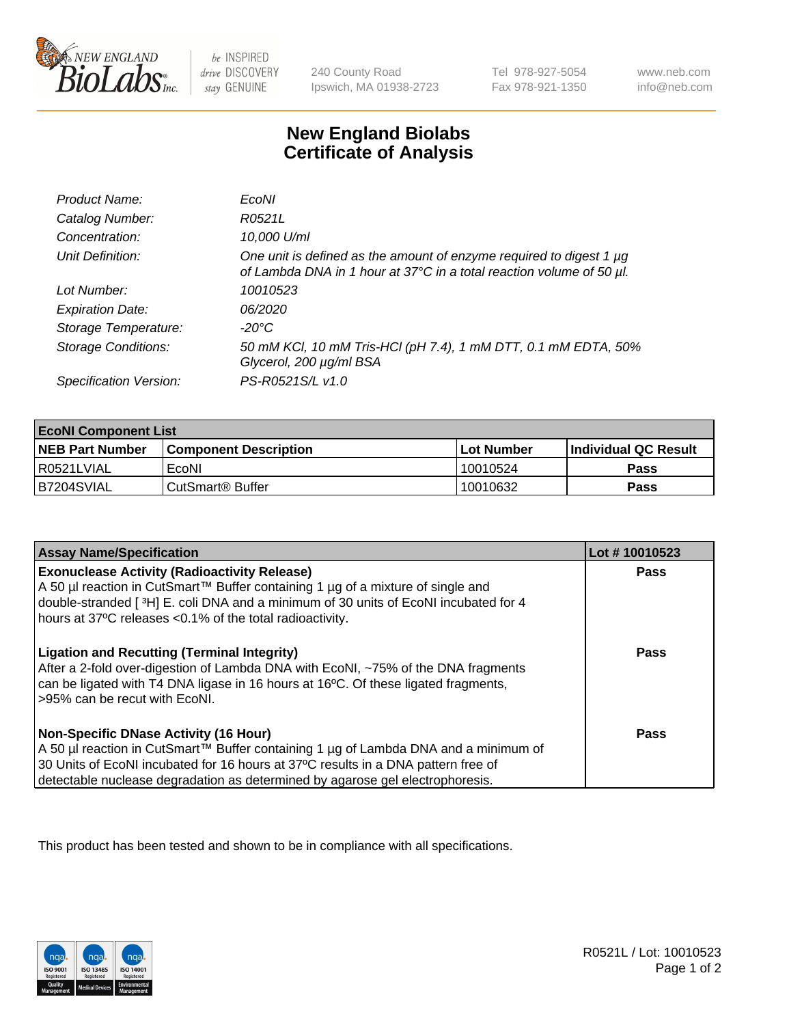

 $be$  INSPIRED drive DISCOVERY stay GENUINE

240 County Road Ipswich, MA 01938-2723 Tel 978-927-5054 Fax 978-921-1350 www.neb.com info@neb.com

## **New England Biolabs Certificate of Analysis**

| Product Name:              | EcoNI                                                                                                                                            |
|----------------------------|--------------------------------------------------------------------------------------------------------------------------------------------------|
| Catalog Number:            | R0521L                                                                                                                                           |
| Concentration:             | 10,000 U/ml                                                                                                                                      |
| Unit Definition:           | One unit is defined as the amount of enzyme required to digest 1 $\mu$ g<br>of Lambda DNA in 1 hour at 37°C in a total reaction volume of 50 µl. |
| Lot Number:                | 10010523                                                                                                                                         |
| <b>Expiration Date:</b>    | 06/2020                                                                                                                                          |
| Storage Temperature:       | -20°C                                                                                                                                            |
| <b>Storage Conditions:</b> | 50 mM KCl, 10 mM Tris-HCl (pH 7.4), 1 mM DTT, 0.1 mM EDTA, 50%<br>Glycerol, 200 µg/ml BSA                                                        |
| Specification Version:     | PS-R0521S/L v1.0                                                                                                                                 |

| <b>EcoNI Component List</b> |                         |              |                             |  |
|-----------------------------|-------------------------|--------------|-----------------------------|--|
| <b>NEB Part Number</b>      | l Component Description | l Lot Number | <b>Individual QC Result</b> |  |
| I R0521LVIAL                | EcoNI                   | 10010524     | Pass                        |  |
| B7204SVIAL                  | l CutSmart® Buffer      | 10010632     | Pass                        |  |

| <b>Assay Name/Specification</b>                                                                                                                                                                                                                                                                           | Lot #10010523 |
|-----------------------------------------------------------------------------------------------------------------------------------------------------------------------------------------------------------------------------------------------------------------------------------------------------------|---------------|
| <b>Exonuclease Activity (Radioactivity Release)</b><br>A 50 µl reaction in CutSmart™ Buffer containing 1 µg of a mixture of single and<br>double-stranded [3H] E. coli DNA and a minimum of 30 units of EcoNI incubated for 4<br>hours at 37°C releases <0.1% of the total radioactivity.                 | Pass          |
| <b>Ligation and Recutting (Terminal Integrity)</b><br>After a 2-fold over-digestion of Lambda DNA with EcoNI, ~75% of the DNA fragments<br>can be ligated with T4 DNA ligase in 16 hours at 16°C. Of these ligated fragments,<br>>95% can be recut with EcoNI.                                            | <b>Pass</b>   |
| <b>Non-Specific DNase Activity (16 Hour)</b><br>A 50 µl reaction in CutSmart™ Buffer containing 1 µg of Lambda DNA and a minimum of<br>30 Units of EcoNI incubated for 16 hours at 37°C results in a DNA pattern free of<br>detectable nuclease degradation as determined by agarose gel electrophoresis. | <b>Pass</b>   |

This product has been tested and shown to be in compliance with all specifications.